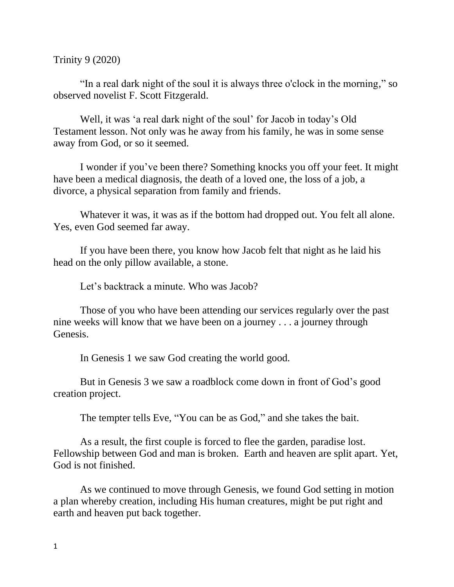Trinity 9 (2020)

"In a real dark night of the soul it is always three o'clock in the morning," so observed novelist F. Scott Fitzgerald.

Well, it was 'a real dark night of the soul' for Jacob in today's Old Testament lesson. Not only was he away from his family, he was in some sense away from God, or so it seemed.

I wonder if you've been there? Something knocks you off your feet. It might have been a medical diagnosis, the death of a loved one, the loss of a job, a divorce, a physical separation from family and friends.

Whatever it was, it was as if the bottom had dropped out. You felt all alone. Yes, even God seemed far away.

If you have been there, you know how Jacob felt that night as he laid his head on the only pillow available, a stone.

Let's backtrack a minute. Who was Jacob?

Those of you who have been attending our services regularly over the past nine weeks will know that we have been on a journey . . . a journey through Genesis.

In Genesis 1 we saw God creating the world good.

But in Genesis 3 we saw a roadblock come down in front of God's good creation project.

The tempter tells Eve, "You can be as God," and she takes the bait.

As a result, the first couple is forced to flee the garden, paradise lost. Fellowship between God and man is broken. Earth and heaven are split apart. Yet, God is not finished.

As we continued to move through Genesis, we found God setting in motion a plan whereby creation, including His human creatures, might be put right and earth and heaven put back together.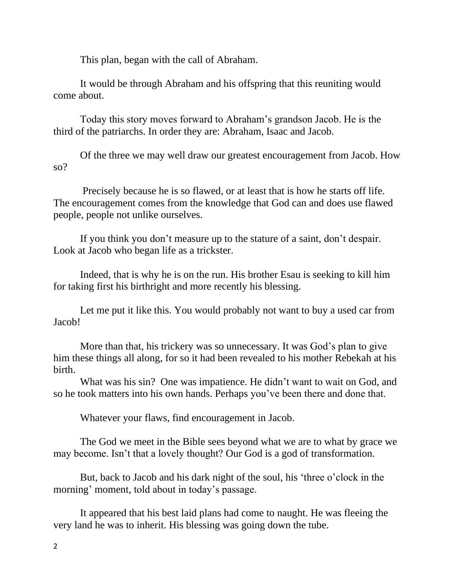This plan, began with the call of Abraham.

It would be through Abraham and his offspring that this reuniting would come about.

Today this story moves forward to Abraham's grandson Jacob. He is the third of the patriarchs. In order they are: Abraham, Isaac and Jacob.

Of the three we may well draw our greatest encouragement from Jacob. How so?

Precisely because he is so flawed, or at least that is how he starts off life. The encouragement comes from the knowledge that God can and does use flawed people, people not unlike ourselves.

If you think you don't measure up to the stature of a saint, don't despair. Look at Jacob who began life as a trickster.

Indeed, that is why he is on the run. His brother Esau is seeking to kill him for taking first his birthright and more recently his blessing.

Let me put it like this. You would probably not want to buy a used car from Jacob!

More than that, his trickery was so unnecessary. It was God's plan to give him these things all along, for so it had been revealed to his mother Rebekah at his birth.

What was his sin? One was impatience. He didn't want to wait on God, and so he took matters into his own hands. Perhaps you've been there and done that.

Whatever your flaws, find encouragement in Jacob.

The God we meet in the Bible sees beyond what we are to what by grace we may become. Isn't that a lovely thought? Our God is a god of transformation.

But, back to Jacob and his dark night of the soul, his 'three o'clock in the morning' moment, told about in today's passage.

It appeared that his best laid plans had come to naught. He was fleeing the very land he was to inherit. His blessing was going down the tube.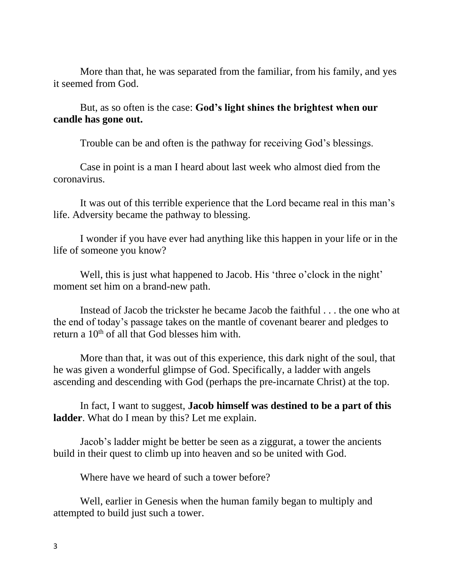More than that, he was separated from the familiar, from his family, and yes it seemed from God.

But, as so often is the case: **God's light shines the brightest when our candle has gone out.** 

Trouble can be and often is the pathway for receiving God's blessings.

Case in point is a man I heard about last week who almost died from the coronavirus.

It was out of this terrible experience that the Lord became real in this man's life. Adversity became the pathway to blessing.

I wonder if you have ever had anything like this happen in your life or in the life of someone you know?

Well, this is just what happened to Jacob. His 'three o'clock in the night' moment set him on a brand-new path.

Instead of Jacob the trickster he became Jacob the faithful . . . the one who at the end of today's passage takes on the mantle of covenant bearer and pledges to return a  $10<sup>th</sup>$  of all that God blesses him with.

More than that, it was out of this experience, this dark night of the soul, that he was given a wonderful glimpse of God. Specifically, a ladder with angels ascending and descending with God (perhaps the pre-incarnate Christ) at the top.

In fact, I want to suggest, **Jacob himself was destined to be a part of this ladder**. What do I mean by this? Let me explain.

Jacob's ladder might be better be seen as a ziggurat, a tower the ancients build in their quest to climb up into heaven and so be united with God.

Where have we heard of such a tower before?

Well, earlier in Genesis when the human family began to multiply and attempted to build just such a tower.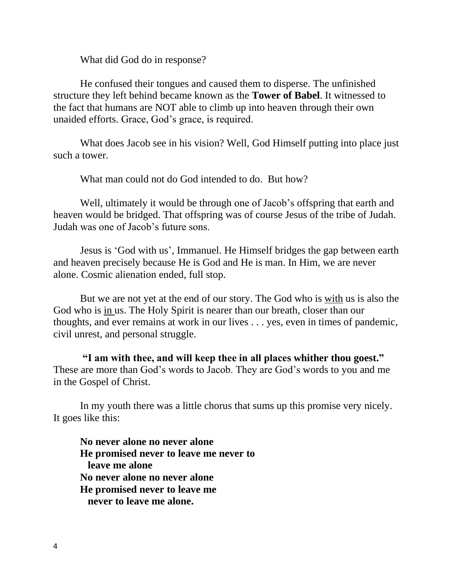What did God do in response?

He confused their tongues and caused them to disperse. The unfinished structure they left behind became known as the **Tower of Babel**. It witnessed to the fact that humans are NOT able to climb up into heaven through their own unaided efforts. Grace, God's grace, is required.

What does Jacob see in his vision? Well, God Himself putting into place just such a tower.

What man could not do God intended to do. But how?

Well, ultimately it would be through one of Jacob's offspring that earth and heaven would be bridged. That offspring was of course Jesus of the tribe of Judah. Judah was one of Jacob's future sons.

Jesus is 'God with us', Immanuel. He Himself bridges the gap between earth and heaven precisely because He is God and He is man. In Him, we are never alone. Cosmic alienation ended, full stop.

But we are not yet at the end of our story. The God who is with us is also the God who is in us. The Holy Spirit is nearer than our breath, closer than our thoughts, and ever remains at work in our lives . . . yes, even in times of pandemic, civil unrest, and personal struggle.

**"I am with thee, and will keep thee in all places whither thou goest."** These are more than God's words to Jacob. They are God's words to you and me in the Gospel of Christ.

In my youth there was a little chorus that sums up this promise very nicely. It goes like this:

**No never alone no never alone He promised never to leave me never to leave me alone No never alone no never alone He promised never to leave me never to leave me alone.**